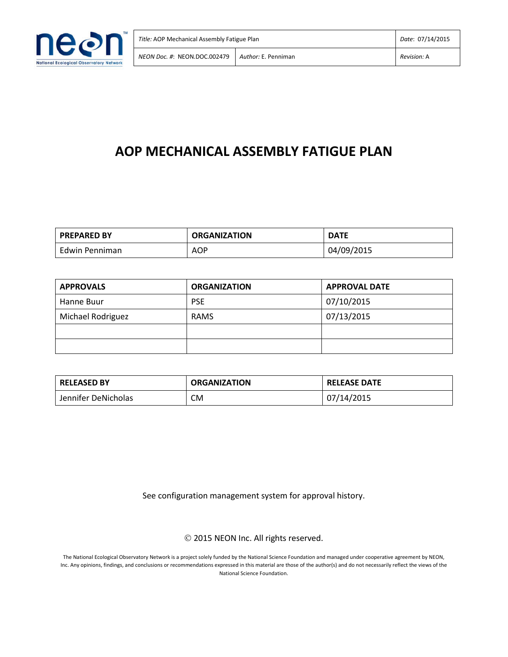

# **AOP MECHANICAL ASSEMBLY FATIGUE PLAN**

| <b>PREPARED BY</b> | <b>ORGANIZATION</b> | <b>DATE</b> |
|--------------------|---------------------|-------------|
| Edwin Penniman     | <b>AOP</b>          | 04/09/2015  |

| <b>APPROVALS</b>  | <b>ORGANIZATION</b> | <b>APPROVAL DATE</b> |
|-------------------|---------------------|----------------------|
| Hanne Buur        | <b>PSE</b>          | 07/10/2015           |
| Michael Rodriguez | <b>RAMS</b>         | 07/13/2015           |
|                   |                     |                      |
|                   |                     |                      |

| <b>RELEASED BY</b>  | <b>ORGANIZATION</b> | <b>RELEASE DATE</b> |  |
|---------------------|---------------------|---------------------|--|
| Jennifer DeNicholas | CM                  | 07/14/2015          |  |

See configuration management system for approval history.

2015 NEON Inc. All rights reserved.

The National Ecological Observatory Network is a project solely funded by the National Science Foundation and managed under cooperative agreement by NEON, Inc. Any opinions, findings, and conclusions or recommendations expressed in this material are those of the author(s) and do not necessarily reflect the views of the National Science Foundation.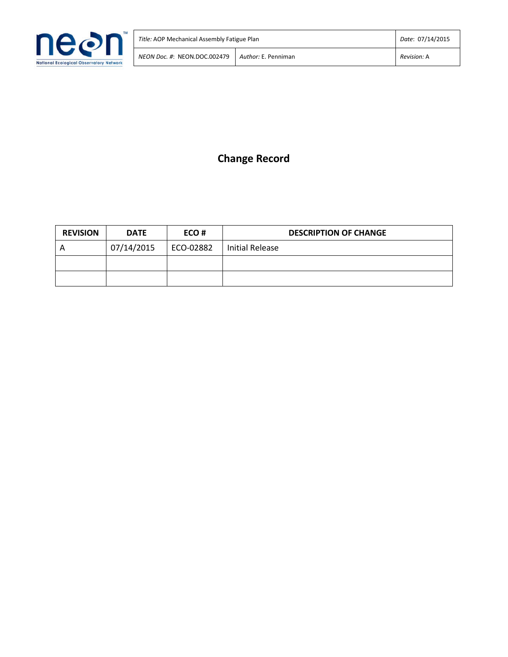

## **Change Record**

| <b>REVISION</b> | <b>DATE</b> | ECO#        | <b>DESCRIPTION OF CHANGE</b> |
|-----------------|-------------|-------------|------------------------------|
| A               | 07/14/2015  | l ECO-02882 | Initial Release              |
|                 |             |             |                              |
|                 |             |             |                              |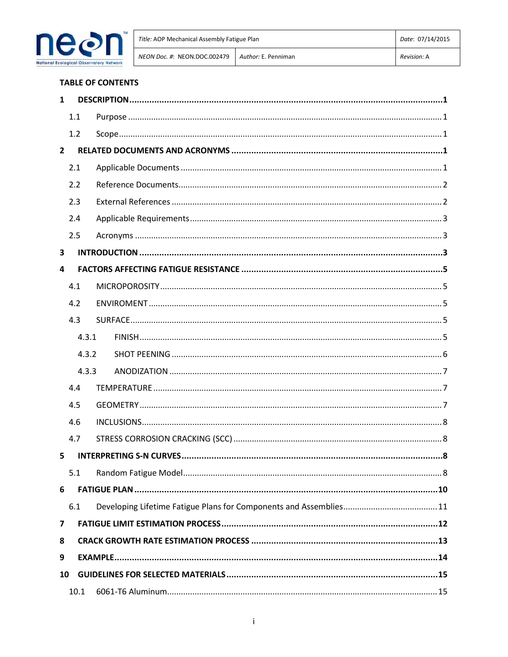

#### **TABLE OF CONTENTS**

| 1              |       |  |
|----------------|-------|--|
|                | 1.1   |  |
|                | 1.2   |  |
| $\overline{2}$ |       |  |
|                | 2.1   |  |
|                | 2.2   |  |
|                | 2.3   |  |
|                | 2.4   |  |
|                | 2.5   |  |
| 3              |       |  |
| 4              |       |  |
|                | 4.1   |  |
|                | 4.2   |  |
|                | 4.3   |  |
|                | 4.3.1 |  |
|                | 4.3.2 |  |
|                | 4.3.3 |  |
|                | 4.4   |  |
|                | 4.5   |  |
|                | 4.6   |  |
|                | 4.7   |  |
| 5              |       |  |
|                | 5.1   |  |
| 6              |       |  |
|                | 6.1   |  |
| 7              |       |  |
| 8              |       |  |
| 9              |       |  |
| 10             |       |  |
|                |       |  |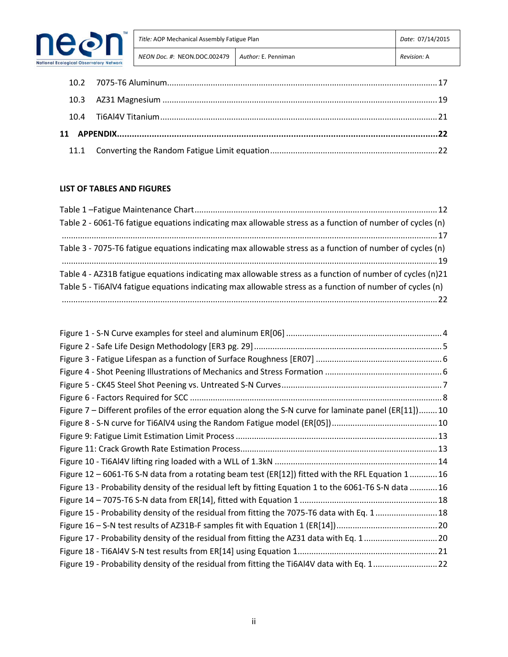

| Title: AOP Mechanical Assembly Fatigue Plan |                     | Date: 07/14/2015 |
|---------------------------------------------|---------------------|------------------|
| NEON Doc. #: NEON.DOC.002479                | Author: E. Penniman | Revision: A      |

## **LIST OF TABLES AND FIGURES**

| Table 2 - 6061-T6 fatigue equations indicating max allowable stress as a function of number of cycles (n) |
|-----------------------------------------------------------------------------------------------------------|
|                                                                                                           |
| Table 3 - 7075-T6 fatigue equations indicating max allowable stress as a function of number of cycles (n) |
|                                                                                                           |
| Table 4 - AZ31B fatigue equations indicating max allowable stress as a function of number of cycles (n)21 |
| Table 5 - Ti6AlV4 fatigue equations indicating max allowable stress as a function of number of cycles (n) |
|                                                                                                           |

| Figure 7 – Different profiles of the error equation along the S-N curve for laminate panel (ER[11])10 |  |
|-------------------------------------------------------------------------------------------------------|--|
|                                                                                                       |  |
|                                                                                                       |  |
|                                                                                                       |  |
|                                                                                                       |  |
| Figure 12 – 6061-T6 S-N data from a rotating beam test (ER[12]) fitted with the RFL Equation 1 16     |  |
| Figure 13 - Probability density of the residual left by fitting Equation 1 to the 6061-T6 S-N data 16 |  |
|                                                                                                       |  |
| Figure 15 - Probability density of the residual from fitting the 7075-T6 data with Eq. 1 18           |  |
|                                                                                                       |  |
| Figure 17 - Probability density of the residual from fitting the AZ31 data with Eq. 120               |  |
|                                                                                                       |  |
| Figure 19 - Probability density of the residual from fitting the Ti6Al4V data with Eq. 122            |  |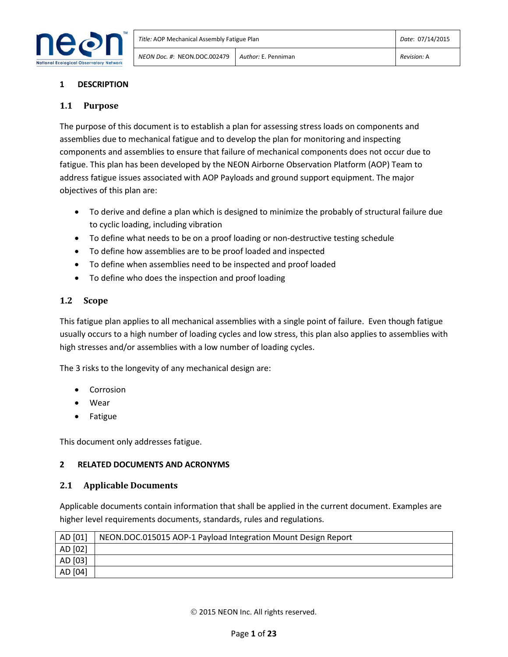

## **1 DESCRIPTION**

## **1.1 Purpose**

The purpose of this document is to establish a plan for assessing stress loads on components and assemblies due to mechanical fatigue and to develop the plan for monitoring and inspecting components and assemblies to ensure that failure of mechanical components does not occur due to fatigue. This plan has been developed by the NEON Airborne Observation Platform (AOP) Team to address fatigue issues associated with AOP Payloads and ground support equipment. The major objectives of this plan are:

- To derive and define a plan which is designed to minimize the probably of structural failure due to cyclic loading, including vibration
- To define what needs to be on a proof loading or non-destructive testing schedule
- To define how assemblies are to be proof loaded and inspected
- To define when assemblies need to be inspected and proof loaded
- To define who does the inspection and proof loading

## **1.2 Scope**

This fatigue plan applies to all mechanical assemblies with a single point of failure. Even though fatigue usually occurs to a high number of loading cycles and low stress, this plan also applies to assemblies with high stresses and/or assemblies with a low number of loading cycles.

The 3 risks to the longevity of any mechanical design are:

- Corrosion
- Wear
- Fatigue

This document only addresses fatigue.

## **2 RELATED DOCUMENTS AND ACRONYMS**

#### **2.1 Applicable Documents**

Applicable documents contain information that shall be applied in the current document. Examples are higher level requirements documents, standards, rules and regulations.

| AD [01] | NEON.DOC.015015 AOP-1 Payload Integration Mount Design Report |
|---------|---------------------------------------------------------------|
| AD [02] |                                                               |
| AD [03] |                                                               |
| AD [04] |                                                               |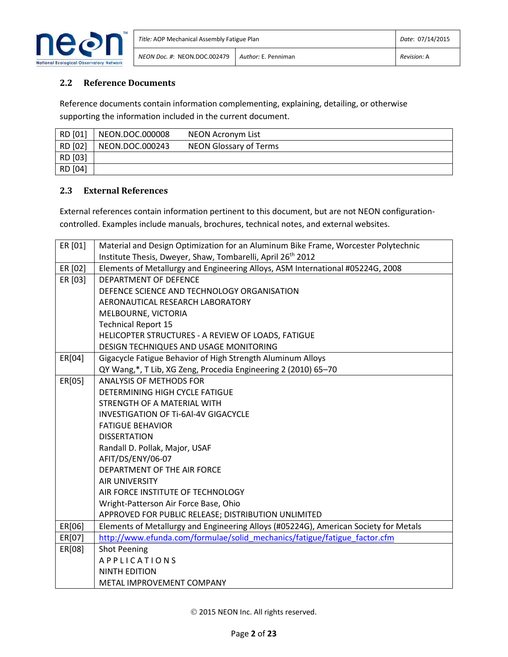

## **2.2 Reference Documents**

Reference documents contain information complementing, explaining, detailing, or otherwise supporting the information included in the current document.

| RD [01] | NEON.DOC.000008 | NEON Acronym List      |
|---------|-----------------|------------------------|
| RD [02] | NEON.DOC.000243 | NEON Glossary of Terms |
| RD [03] |                 |                        |
| RD [04] |                 |                        |

#### **2.3 External References**

External references contain information pertinent to this document, but are not NEON configurationcontrolled. Examples include manuals, brochures, technical notes, and external websites.

| ER [01] | Material and Design Optimization for an Aluminum Bike Frame, Worcester Polytechnic   |
|---------|--------------------------------------------------------------------------------------|
|         | Institute Thesis, Dweyer, Shaw, Tombarelli, April 26 <sup>th</sup> 2012              |
| ER [02] | Elements of Metallurgy and Engineering Alloys, ASM International #05224G, 2008       |
| ER [03] | <b>DEPARTMENT OF DEFENCE</b>                                                         |
|         | DEFENCE SCIENCE AND TECHNOLOGY ORGANISATION                                          |
|         | AERONAUTICAL RESEARCH LABORATORY                                                     |
|         | MELBOURNE, VICTORIA                                                                  |
|         | <b>Technical Report 15</b>                                                           |
|         | HELICOPTER STRUCTURES - A REVIEW OF LOADS, FATIGUE                                   |
|         | DESIGN TECHNIQUES AND USAGE MONITORING                                               |
| ER[04]  | Gigacycle Fatigue Behavior of High Strength Aluminum Alloys                          |
|         | QY Wang,*, T Lib, XG Zeng, Procedia Engineering 2 (2010) 65-70                       |
| ER[05]  | <b>ANALYSIS OF METHODS FOR</b>                                                       |
|         | DETERMINING HIGH CYCLE FATIGUE                                                       |
|         | STRENGTH OF A MATERIAL WITH                                                          |
|         | <b>INVESTIGATION OF Ti-6Al-4V GIGACYCLE</b>                                          |
|         | <b>FATIGUE BEHAVIOR</b>                                                              |
|         | <b>DISSERTATION</b>                                                                  |
|         | Randall D. Pollak, Major, USAF                                                       |
|         | AFIT/DS/ENY/06-07                                                                    |
|         | DEPARTMENT OF THE AIR FORCE                                                          |
|         | <b>AIR UNIVERSITY</b>                                                                |
|         | AIR FORCE INSTITUTE OF TECHNOLOGY                                                    |
|         | Wright-Patterson Air Force Base, Ohio                                                |
|         | APPROVED FOR PUBLIC RELEASE; DISTRIBUTION UNLIMITED                                  |
| ER[06]  | Elements of Metallurgy and Engineering Alloys (#05224G), American Society for Metals |
| ER[07]  | http://www.efunda.com/formulae/solid mechanics/fatigue/fatigue factor.cfm            |
| ER[08]  | <b>Shot Peening</b>                                                                  |
|         | APPLICATIONS                                                                         |
|         | <b>NINTH EDITION</b>                                                                 |
|         | METAL IMPROVEMENT COMPANY                                                            |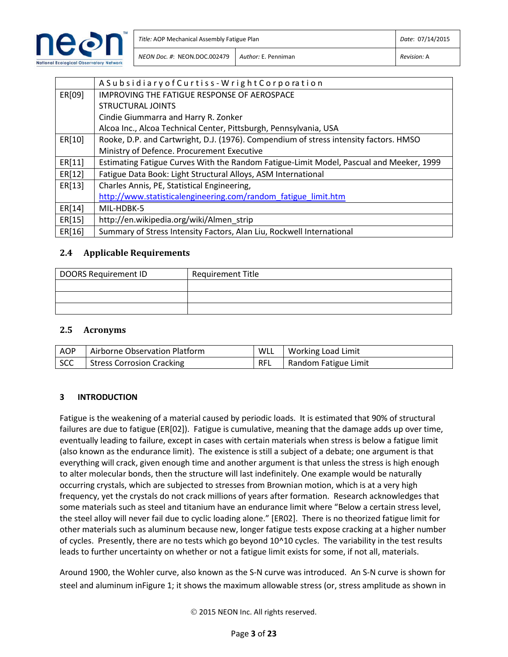

|        | ASubsidiary of Curtiss - Wright Corporation                                             |
|--------|-----------------------------------------------------------------------------------------|
| ER[09] | IMPROVING THE FATIGUE RESPONSE OF AEROSPACE                                             |
|        | <b>STRUCTURAL JOINTS</b>                                                                |
|        | Cindie Giummarra and Harry R. Zonker                                                    |
|        | Alcoa Inc., Alcoa Technical Center, Pittsburgh, Pennsylvania, USA                       |
| ER[10] | Rooke, D.P. and Cartwright, D.J. (1976). Compendium of stress intensity factors. HMSO   |
|        | Ministry of Defence. Procurement Executive                                              |
| ER[11] | Estimating Fatigue Curves With the Random Fatigue-Limit Model, Pascual and Meeker, 1999 |
| ER[12] | Fatigue Data Book: Light Structural Alloys, ASM International                           |
| ER[13] | Charles Annis, PE, Statistical Engineering,                                             |
|        | http://www.statisticalengineering.com/random fatigue limit.htm                          |
| ER[14] | MIL-HDBK-5                                                                              |
| ER[15] | http://en.wikipedia.org/wiki/Almen strip                                                |
| ER[16] | Summary of Stress Intensity Factors, Alan Liu, Rockwell International                   |

#### **2.4 Applicable Requirements**

| DOORS Requirement ID | <b>Requirement Title</b> |
|----------------------|--------------------------|
|                      |                          |
|                      |                          |
|                      |                          |

#### **2.5 Acronyms**

| AOP | Airborne Observation Platform | WLL | Working Load Limit   |
|-----|-------------------------------|-----|----------------------|
| SCC | Stress Corrosion Cracking     | RFL | Random Fatigue Limit |

#### **3 INTRODUCTION**

Fatigue is the weakening of a material caused by periodic loads. It is estimated that 90% of structural failures are due to fatigue (ER[02]). Fatigue is cumulative, meaning that the damage adds up over time, eventually leading to failure, except in cases with certain materials when stress is below a fatigue limit (also known as the endurance limit). The existence is still a subject of a debate; one argument is that everything will crack, given enough time and another argument is that unless the stress is high enough to alter molecular bonds, then the structure will last indefinitely. One example would be naturally occurring crystals, which are subjected to stresses from Brownian motion, which is at a very high frequency, yet the crystals do not crack millions of years after formation. Research acknowledges that some materials such as steel and titanium have an endurance limit where "Below a certain stress level, the steel alloy will never fail due to cyclic loading alone." [ER02]. There is no theorized fatigue limit for other materials such as aluminum because new, longer fatigue tests expose cracking at a higher number of cycles. Presently, there are no tests which go beyond 10^10 cycles. The variability in the test results leads to further uncertainty on whether or not a fatigue limit exists for some, if not all, materials.

Around 1900, the Wohler curve, also known as the S-N curve was introduced. An S-N curve is shown for steel and aluminum inFigure 1; it shows the maximum allowable stress (or, stress amplitude as shown in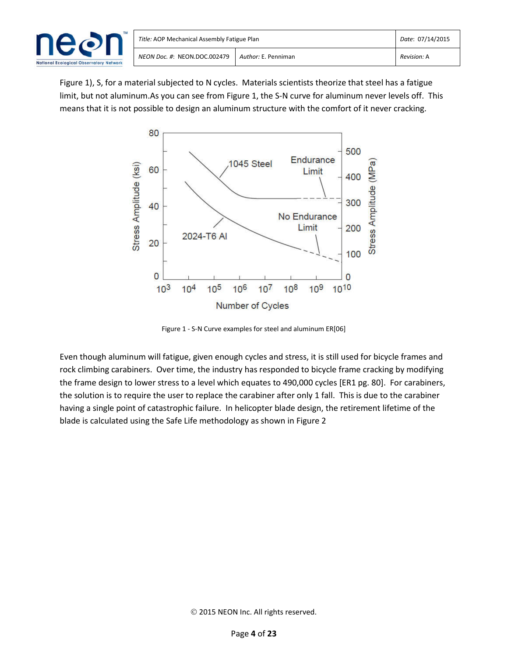

Figure 1), S, for a material subjected to N cycles. Materials scientists theorize that steel has a fatigue limit, but not aluminum.As you can see from Figure 1, the S-N curve for aluminum never levels off. This means that it is not possible to design an aluminum structure with the comfort of it never cracking.



Figure 1 - S-N Curve examples for steel and aluminum ER[06]

Even though aluminum will fatigue, given enough cycles and stress, it is still used for bicycle frames and rock climbing carabiners. Over time, the industry has responded to bicycle frame cracking by modifying the frame design to lower stress to a level which equates to 490,000 cycles [ER1 pg. 80]. For carabiners, the solution is to require the user to replace the carabiner after only 1 fall. This is due to the carabiner having a single point of catastrophic failure. In helicopter blade design, the retirement lifetime of the blade is calculated using the Safe Life methodology as shown in Figure 2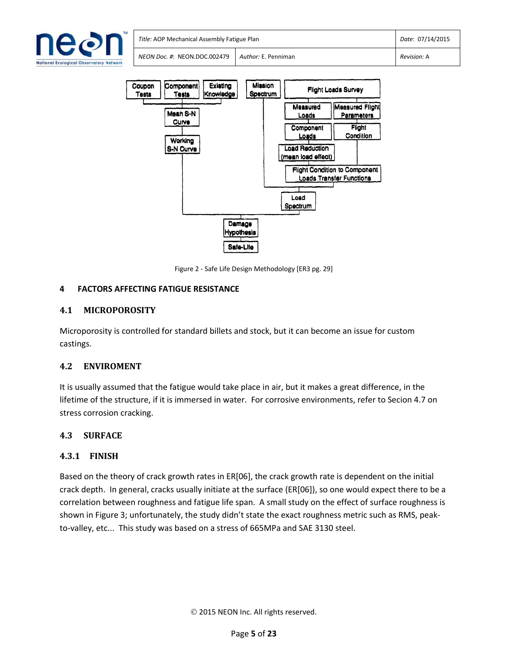



Figure 2 - Safe Life Design Methodology [ER3 pg. 29]

## **4 FACTORS AFFECTING FATIGUE RESISTANCE**

## **4.1 MICROPOROSITY**

Microporosity is controlled for standard billets and stock, but it can become an issue for custom castings.

## **4.2 ENVIROMENT**

It is usually assumed that the fatigue would take place in air, but it makes a great difference, in the lifetime of the structure, if it is immersed in water. For corrosive environments, refer to Secion 4.7 on stress corrosion cracking.

## **4.3 SURFACE**

## **4.3.1 FINISH**

Based on the theory of crack growth rates in ER[06], the crack growth rate is dependent on the initial crack depth. In general, cracks usually initiate at the surface (ER[06]), so one would expect there to be a correlation between roughness and fatigue life span. A small study on the effect of surface roughness is shown in Figure 3; unfortunately, the study didn't state the exact roughness metric such as RMS, peakto-valley, etc... This study was based on a stress of 665MPa and SAE 3130 steel.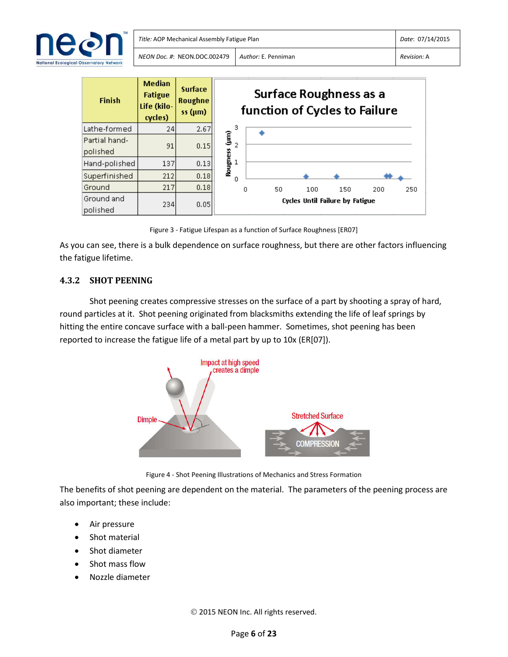



Figure 3 - Fatigue Lifespan as a function of Surface Roughness [ER07]

As you can see, there is a bulk dependence on surface roughness, but there are other factors influencing the fatigue lifetime.

## **4.3.2 SHOT PEENING**

Shot peening creates compressive stresses on the surface of a part by shooting a spray of hard, round particles at it. Shot peening originated from blacksmiths extending the life of leaf springs by hitting the entire concave surface with a ball-peen hammer. Sometimes, shot peening has been reported to increase the fatigue life of a metal part by up to 10x (ER[07]).



Figure 4 - Shot Peening Illustrations of Mechanics and Stress Formation

The benefits of shot peening are dependent on the material. The parameters of the peening process are also important; these include:

- Air pressure
- Shot material
- Shot diameter
- Shot mass flow
- Nozzle diameter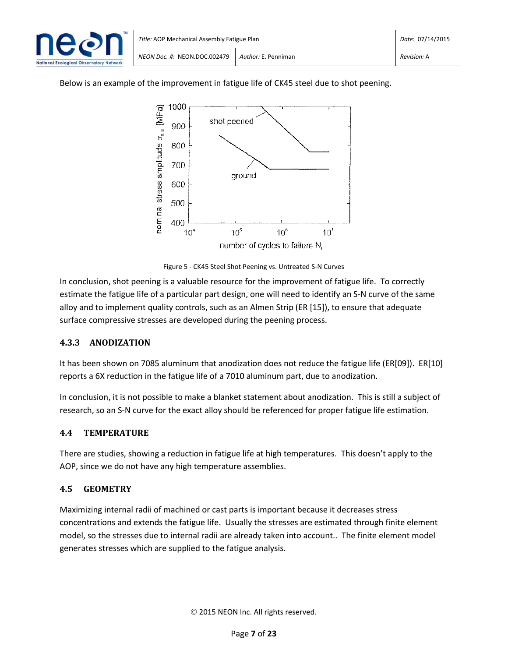

Below is an example of the improvement in fatigue life of CK45 steel due to shot peening.



Figure 5 - CK45 Steel Shot Peening vs. Untreated S-N Curves

In conclusion, shot peening is a valuable resource for the improvement of fatigue life. To correctly estimate the fatigue life of a particular part design, one will need to identify an S-N curve of the same alloy and to implement quality controls, such as an Almen Strip (ER [15]), to ensure that adequate surface compressive stresses are developed during the peening process.

## **4.3.3 ANODIZATION**

It has been shown on 7085 aluminum that anodization does not reduce the fatigue life (ER[09]). ER[10] reports a 6X reduction in the fatigue life of a 7010 aluminum part, due to anodization.

In conclusion, it is not possible to make a blanket statement about anodization. This is still a subject of research, so an S-N curve for the exact alloy should be referenced for proper fatigue life estimation.

## **4.4 TEMPERATURE**

There are studies, showing a reduction in fatigue life at high temperatures. This doesn't apply to the AOP, since we do not have any high temperature assemblies.

## **4.5 GEOMETRY**

Maximizing internal radii of machined or cast parts is important because it decreases stress concentrations and extends the fatigue life. Usually the stresses are estimated through finite element model, so the stresses due to internal radii are already taken into account.. The finite element model generates stresses which are supplied to the fatigue analysis.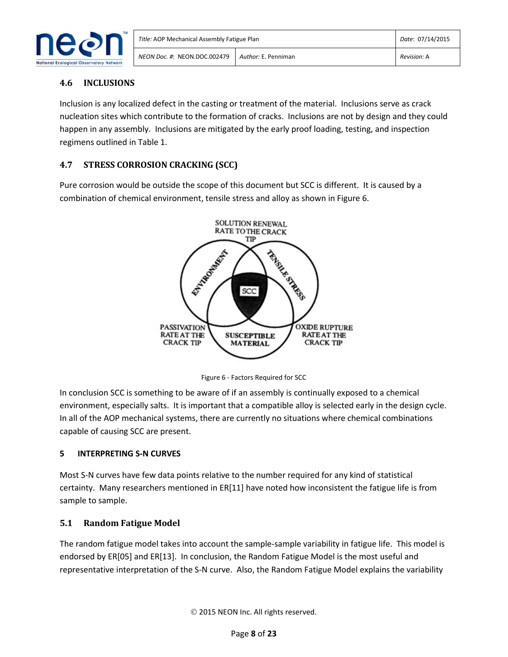

## **4.6 INCLUSIONS**

Inclusion is any localized defect in the casting or treatment of the material. Inclusions serve as crack nucleation sites which contribute to the formation of cracks. Inclusions are not by design and they could happen in any assembly. Inclusions are mitigated by the early proof loading, testing, and inspection regimens outlined in Table 1.

## **4.7 STRESS CORROSION CRACKING (SCC)**

Pure corrosion would be outside the scope of this document but SCC is different. It is caused by a combination of chemical environment, tensile stress and alloy as shown in Figure 6.



Figure 6 - Factors Required for SCC

In conclusion SCC is something to be aware of if an assembly is continually exposed to a chemical environment, especially salts. It is important that a compatible alloy is selected early in the design cycle. In all of the AOP mechanical systems, there are currently no situations where chemical combinations capable of causing SCC are present.

## **5 INTERPRETING S-N CURVES**

Most S-N curves have few data points relative to the number required for any kind of statistical certainty. Many researchers mentioned in ER[11] have noted how inconsistent the fatigue life is from sample to sample.

## **5.1 Random Fatigue Model**

The random fatigue model takes into account the sample-sample variability in fatigue life. This model is endorsed by ER[05] and ER[13]. In conclusion, the Random Fatigue Model is the most useful and representative interpretation of the S-N curve. Also, the Random Fatigue Model explains the variability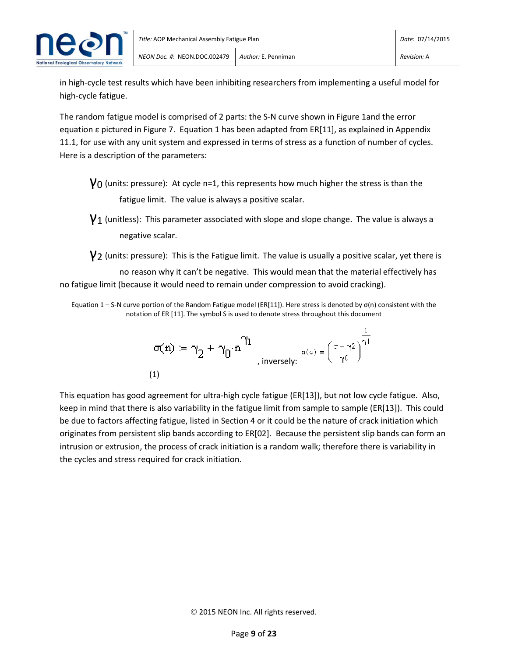

in high-cycle test results which have been inhibiting researchers from implementing a useful model for high-cycle fatigue.

The random fatigue model is comprised of 2 parts: the S-N curve shown in Figure 1and the error equation ε pictured in Figure 7. Equation 1 has been adapted from ER[11], as explained in Appendix 11.1, for use with any unit system and expressed in terms of stress as a function of number of cycles. Here is a description of the parameters:

 $\gamma_0$  (units: pressure): At cycle n=1, this represents how much higher the stress is than the fatigue limit. The value is always a positive scalar.

 $V_1$  (unitless): This parameter associated with slope and slope change. The value is always a negative scalar.

 $\gamma$ 2 (units: pressure): This is the Fatigue limit. The value is usually a positive scalar, yet there is

no reason why it can't be negative. This would mean that the material effectively has no fatigue limit (because it would need to remain under compression to avoid cracking).

Equation 1 – S-N curve portion of the Random Fatigue model (ER[11]). Here stress is denoted by  $\sigma(n)$  consistent with the notation of ER [11]. The symbol S is used to denote stress throughout this document

$$
\sigma(n) := \gamma_2 + \gamma_0 \cdot n^{\gamma_1}
$$
\n, inversely:

\n
$$
n(\sigma) = \left(\frac{\sigma - \gamma_2}{\gamma_0}\right)^{\frac{1}{\gamma_1}}
$$
\n(1)

This equation has good agreement for ultra-high cycle fatigue (ER[13]), but not low cycle fatigue. Also, keep in mind that there is also variability in the fatigue limit from sample to sample (ER[13]). This could be due to factors affecting fatigue, listed in Section 4 or it could be the nature of crack initiation which originates from persistent slip bands according to ER[02]. Because the persistent slip bands can form an intrusion or extrusion, the process of crack initiation is a random walk; therefore there is variability in the cycles and stress required for crack initiation.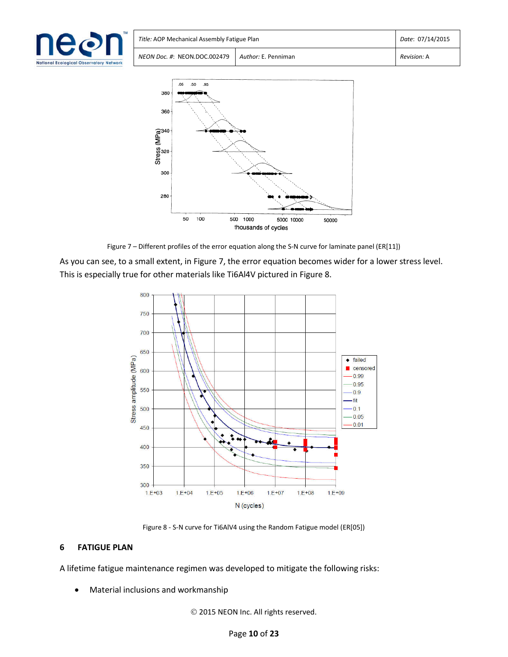

| Title: AOP Mechanical Assembly Fatigue Plan | Date: 07/14/2015                   |  |  |  |
|---------------------------------------------|------------------------------------|--|--|--|
| NEON Doc. #: NEON.DOC.002479                | Revision: A<br>Author: E. Penniman |  |  |  |



Figure 7 – Different profiles of the error equation along the S-N curve for laminate panel (ER[11])

As you can see, to a small extent, in Figure 7, the error equation becomes wider for a lower stress level. This is especially true for other materials like Ti6Al4V pictured in Figure 8.



Figure 8 - S-N curve for Ti6AlV4 using the Random Fatigue model (ER[05])

#### **6 FATIGUE PLAN**

A lifetime fatigue maintenance regimen was developed to mitigate the following risks:

Material inclusions and workmanship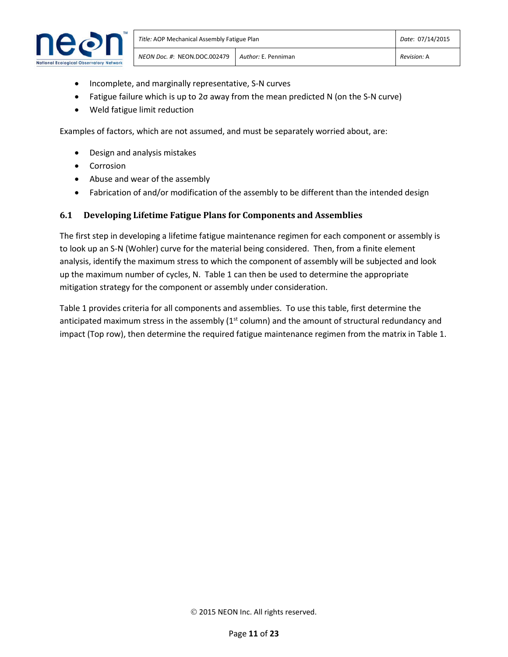

- Incomplete, and marginally representative, S-N curves
- Fatigue failure which is up to 2σ away from the mean predicted N (on the S-N curve)
- Weld fatigue limit reduction

Examples of factors, which are not assumed, and must be separately worried about, are:

- Design and analysis mistakes
- **•** Corrosion
- Abuse and wear of the assembly
- Fabrication of and/or modification of the assembly to be different than the intended design

#### **6.1 Developing Lifetime Fatigue Plans for Components and Assemblies**

The first step in developing a lifetime fatigue maintenance regimen for each component or assembly is to look up an S-N (Wohler) curve for the material being considered. Then, from a finite element analysis, identify the maximum stress to which the component of assembly will be subjected and look up the maximum number of cycles, N. Table 1 can then be used to determine the appropriate mitigation strategy for the component or assembly under consideration.

Table 1 provides criteria for all components and assemblies. To use this table, first determine the anticipated maximum stress in the assembly  $(1<sup>st</sup>$  column) and the amount of structural redundancy and impact (Top row), then determine the required fatigue maintenance regimen from the matrix in Table 1.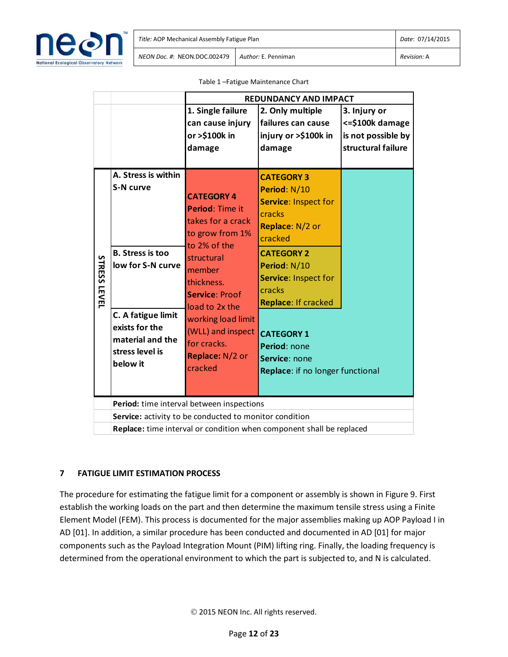

|                     |                                                                                                                                                                             |                                                                                                                                                                                                                                                                       | <b>REDUNDANCY AND IMPACT</b>                                                                                                                                                                                                                                                              |                                                                              |  |  |
|---------------------|-----------------------------------------------------------------------------------------------------------------------------------------------------------------------------|-----------------------------------------------------------------------------------------------------------------------------------------------------------------------------------------------------------------------------------------------------------------------|-------------------------------------------------------------------------------------------------------------------------------------------------------------------------------------------------------------------------------------------------------------------------------------------|------------------------------------------------------------------------------|--|--|
|                     |                                                                                                                                                                             | 1. Single failure<br>can cause injury<br>or >\$100k in<br>damage                                                                                                                                                                                                      | 2. Only multiple<br>failures can cause<br>injury or >\$100k in<br>damage                                                                                                                                                                                                                  | 3. Injury or<br><= \$100k damage<br>is not possible by<br>structural failure |  |  |
| <b>STRESS LEVEL</b> | A. Stress is within<br>S-N curve<br><b>B. Stress is too</b><br>low for S-N curve<br>C. A fatigue limit<br>exists for the<br>material and the<br>stress level is<br>below it | <b>CATEGORY 4</b><br>Period: Time it<br>takes for a crack<br>to grow from 1%<br>to 2% of the<br>structural<br>member<br>thickness.<br><b>Service: Proof</b><br>load to 2x the<br>working load limit<br>(WLL) and inspect<br>for cracks.<br>Replace: N/2 or<br>cracked | <b>CATEGORY 3</b><br>Period: N/10<br>Service: Inspect for<br>cracks<br>Replace: N/2 or<br>cracked<br><b>CATEGORY 2</b><br>Period: N/10<br>Service: Inspect for<br>cracks<br>Replace: If cracked<br><b>CATEGORY 1</b><br>Period: none<br>Service: none<br>Replace: if no longer functional |                                                                              |  |  |
|                     |                                                                                                                                                                             |                                                                                                                                                                                                                                                                       |                                                                                                                                                                                                                                                                                           |                                                                              |  |  |
|                     |                                                                                                                                                                             | Period: time interval between inspections                                                                                                                                                                                                                             |                                                                                                                                                                                                                                                                                           |                                                                              |  |  |
|                     | Service: activity to be conducted to monitor condition<br>Replace: time interval or condition when component shall be replaced                                              |                                                                                                                                                                                                                                                                       |                                                                                                                                                                                                                                                                                           |                                                                              |  |  |

Table 1 –Fatigue Maintenance Chart

## **7 FATIGUE LIMIT ESTIMATION PROCESS**

The procedure for estimating the fatigue limit for a component or assembly is shown in Figure 9. First establish the working loads on the part and then determine the maximum tensile stress using a Finite Element Model (FEM). This process is documented for the major assemblies making up AOP Payload I in AD [01]. In addition, a similar procedure has been conducted and documented in AD [01] for major components such as the Payload Integration Mount (PIM) lifting ring. Finally, the loading frequency is determined from the operational environment to which the part is subjected to, and N is calculated.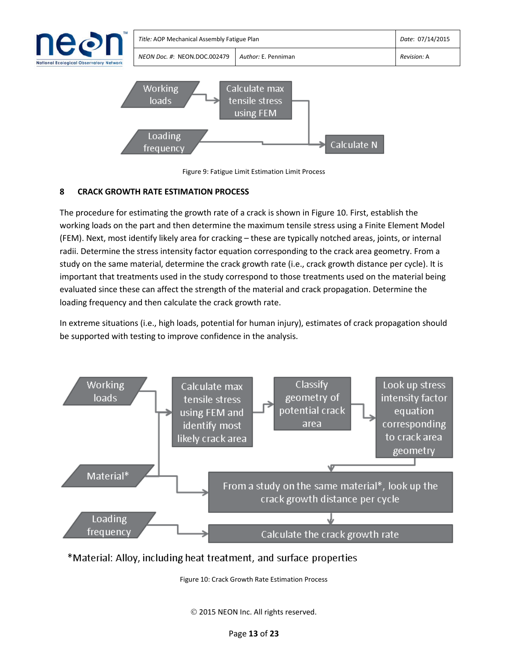



## **8 CRACK GROWTH RATE ESTIMATION PROCESS**

The procedure for estimating the growth rate of a crack is shown in Figure 10. First, establish the working loads on the part and then determine the maximum tensile stress using a Finite Element Model (FEM). Next, most identify likely area for cracking – these are typically notched areas, joints, or internal radii. Determine the stress intensity factor equation corresponding to the crack area geometry. From a study on the same material, determine the crack growth rate (i.e., crack growth distance per cycle). It is important that treatments used in the study correspond to those treatments used on the material being evaluated since these can affect the strength of the material and crack propagation. Determine the loading frequency and then calculate the crack growth rate.

In extreme situations (i.e., high loads, potential for human injury), estimates of crack propagation should be supported with testing to improve confidence in the analysis.



## \*Material: Alloy, including heat treatment, and surface properties

Figure 10: Crack Growth Rate Estimation Process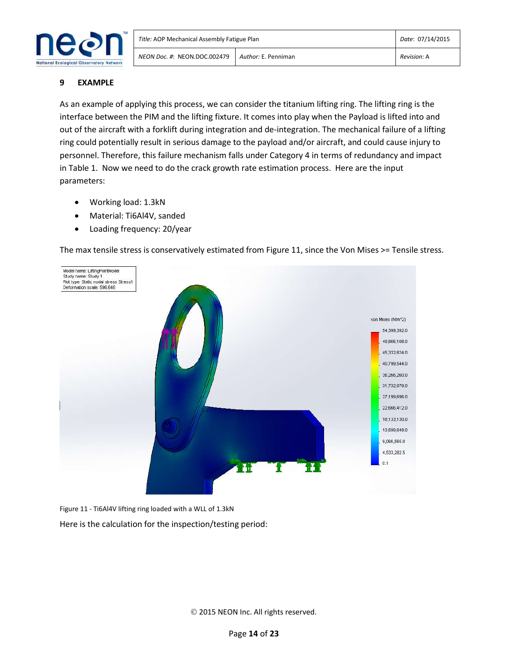

#### **9 EXAMPLE**

As an example of applying this process, we can consider the titanium lifting ring. The lifting ring is the interface between the PIM and the lifting fixture. It comes into play when the Payload is lifted into and out of the aircraft with a forklift during integration and de-integration. The mechanical failure of a lifting ring could potentially result in serious damage to the payload and/or aircraft, and could cause injury to personnel. Therefore, this failure mechanism falls under Category 4 in terms of redundancy and impact in Table 1. Now we need to do the crack growth rate estimation process. Here are the input parameters:

- Working load: 1.3kN
- Material: Ti6Al4V, sanded
- Loading frequency: 20/year

The max tensile stress is conservatively estimated from Figure 11, since the Von Mises >= Tensile stress.



Figure 11 - Ti6Al4V lifting ring loaded with a WLL of 1.3kN

Here is the calculation for the inspection/testing period: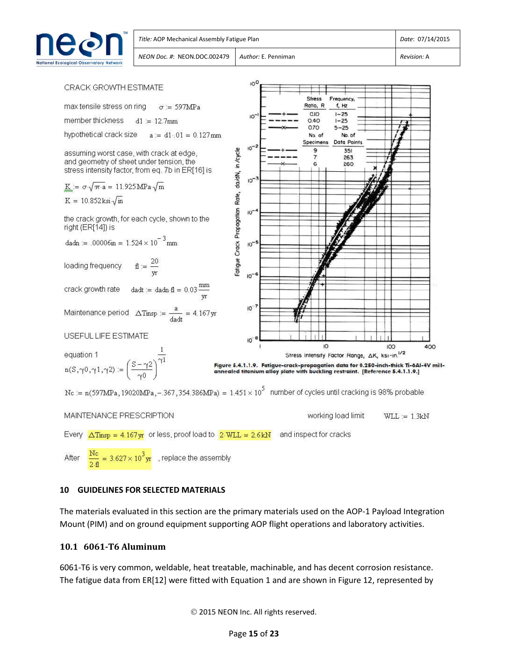



## **10 GUIDELINES FOR SELECTED MATERIALS**

The materials evaluated in this section are the primary materials used on the AOP-1 Payload Integration Mount (PIM) and on ground equipment supporting AOP flight operations and laboratory activities.

#### **10.1 6061-T6 Aluminum**

6061-T6 is very common, weldable, heat treatable, machinable, and has decent corrosion resistance. The fatigue data from ER[12] were fitted with Equation 1 and are shown in Figure 12, represented by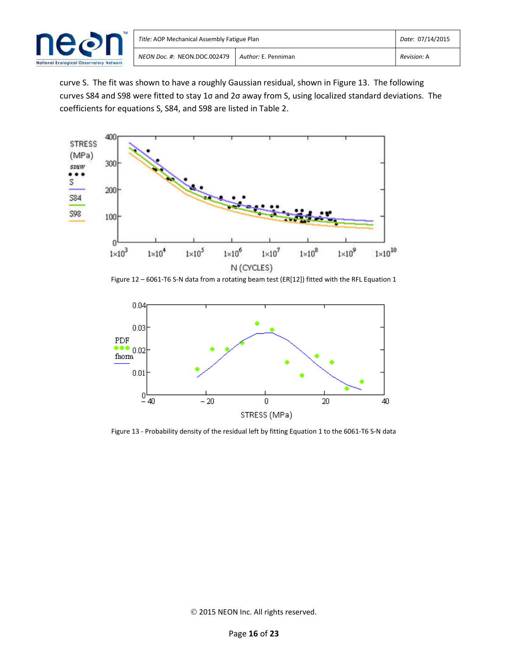

curve S. The fit was shown to have a roughly Gaussian residual, shown in Figure 13. The following curves S84 and S98 were fitted to stay 1σ and 2σ away from S, using localized standard deviations. The coefficients for equations S, S84, and S98 are listed in Table 2.



Figure 12 - 6061-T6 S-N data from a rotating beam test (ER[12]) fitted with the RFL Equation 1



Figure 13 - Probability density of the residual left by fitting Equation 1 to the 6061-T6 S-N data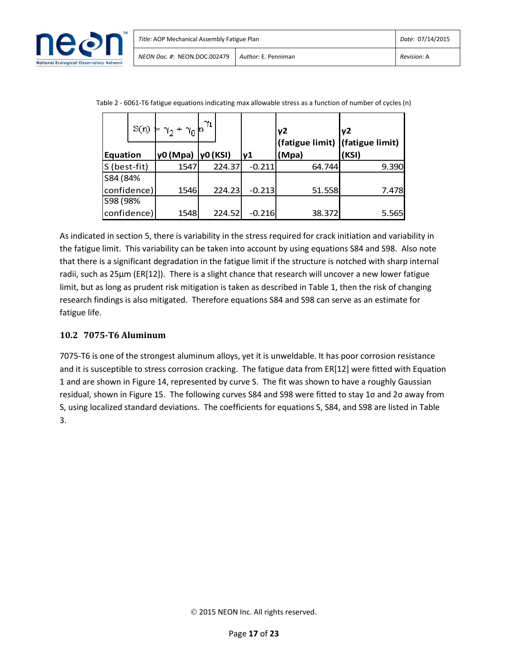

| <b>Equation</b> | S(n) | γ0 (Mpa)  γ0 (KSI) | $\gamma_1$ | lv1      | y2<br>(fatigue limit)   (fatigue limit)<br>(Mpa) | v <sub>2</sub><br>(KSI) |
|-----------------|------|--------------------|------------|----------|--------------------------------------------------|-------------------------|
| S (best-fit)    |      | 1547               | 224.37     | $-0.211$ | 64.744                                           | 9.390                   |
| S84 (84%        |      |                    |            |          |                                                  |                         |
| confidence)     |      | 1546               | 224.23     | $-0.213$ | 51.558                                           | 7.478                   |
| S98 (98%        |      |                    |            |          |                                                  |                         |
| confidence)     |      | 1548               | 224.52     | $-0.216$ | 38.372                                           | 5.565                   |

| Table 2 - 6061-T6 fatigue equations indicating max allowable stress as a function of number of cycles (n) |  |  |  |
|-----------------------------------------------------------------------------------------------------------|--|--|--|
|                                                                                                           |  |  |  |

As indicated in section 5, there is variability in the stress required for crack initiation and variability in the fatigue limit. This variability can be taken into account by using equations S84 and S98. Also note that there is a significant degradation in the fatigue limit if the structure is notched with sharp internal radii, such as 25µm (ER[12]). There is a slight chance that research will uncover a new lower fatigue limit, but as long as prudent risk mitigation is taken as described in Table 1, then the risk of changing research findings is also mitigated. Therefore equations S84 and S98 can serve as an estimate for fatigue life.

## **10.2 7075-T6 Aluminum**

7075-T6 is one of the strongest aluminum alloys, yet it is unweldable. It has poor corrosion resistance and it is susceptible to stress corrosion cracking. The fatigue data from ER[12] were fitted with Equation 1 and are shown in Figure 14, represented by curve S. The fit was shown to have a roughly Gaussian residual, shown in Figure 15. The following curves S84 and S98 were fitted to stay 1σ and 2σ away from S, using localized standard deviations. The coefficients for equations S, S84, and S98 are listed in Table 3.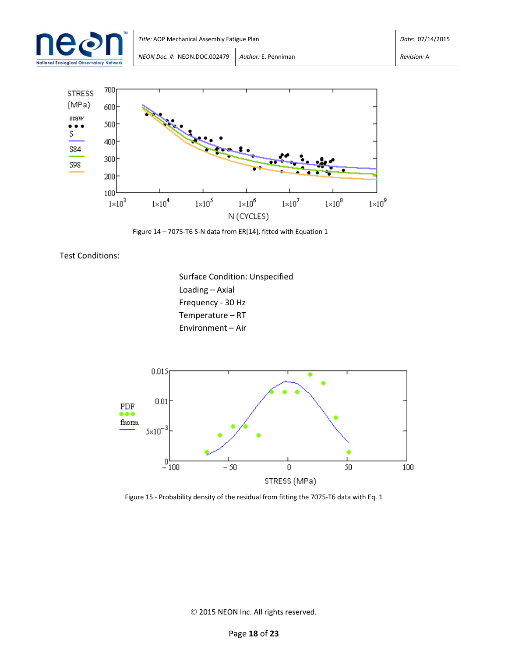



Figure 14 – 7075-T6 S-N data from ER[14], fitted with Equation 1

Test Conditions:

Surface Condition: Unspecified Loading – Axial Frequency - 30 Hz Temperature – RT Environment – Air



Figure 15 - Probability density of the residual from fitting the 7075-T6 data with Eq. 1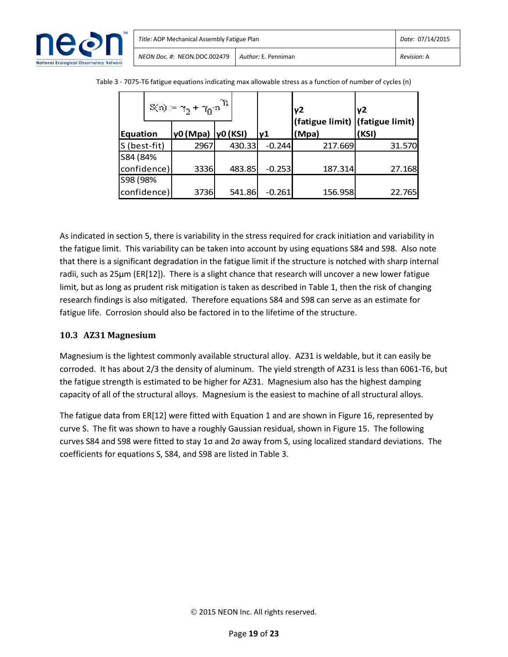

|                 |             | $\mathbb{S}(n)\coloneqq \gamma_2+\gamma_0\cdot n^{\gamma_1}$ |        |          | v <sub>2</sub>                           | γ2     |
|-----------------|-------------|--------------------------------------------------------------|--------|----------|------------------------------------------|--------|
| <b>Equation</b> |             | γ0 (Mpa)  γ0 (KSI)                                           |        | lν1      | (fatigue limit) (fatigue limit)<br>(Mpa) | (KSI)  |
| S (best-fit)    |             | 2967                                                         | 430.33 | $-0.244$ | 217.669                                  | 31.570 |
| S84 (84%        |             |                                                              |        |          |                                          |        |
| confidence)     |             | 3336                                                         | 483.85 | $-0.253$ | 187.314                                  | 27.168 |
| S98 (98%        |             |                                                              |        |          |                                          |        |
|                 | confidence) | 3736                                                         | 541.86 | $-0.261$ | 156.958                                  | 22.765 |

Table 3 - 7075-T6 fatigue equations indicating max allowable stress as a function of number of cycles (n)

As indicated in section 5, there is variability in the stress required for crack initiation and variability in the fatigue limit. This variability can be taken into account by using equations S84 and S98. Also note that there is a significant degradation in the fatigue limit if the structure is notched with sharp internal radii, such as 25µm (ER[12]). There is a slight chance that research will uncover a new lower fatigue limit, but as long as prudent risk mitigation is taken as described in Table 1, then the risk of changing research findings is also mitigated. Therefore equations S84 and S98 can serve as an estimate for fatigue life. Corrosion should also be factored in to the lifetime of the structure.

## **10.3 AZ31 Magnesium**

Magnesium is the lightest commonly available structural alloy. AZ31 is weldable, but it can easily be corroded. It has about 2/3 the density of aluminum. The yield strength of AZ31 is less than 6061-T6, but the fatigue strength is estimated to be higher for AZ31. Magnesium also has the highest damping capacity of all of the structural alloys. Magnesium is the easiest to machine of all structural alloys.

The fatigue data from ER[12] were fitted with Equation 1 and are shown in Figure 16, represented by curve S. The fit was shown to have a roughly Gaussian residual, shown in Figure 15. The following curves S84 and S98 were fitted to stay 1σ and 2σ away from S, using localized standard deviations. The coefficients for equations S, S84, and S98 are listed in Table 3.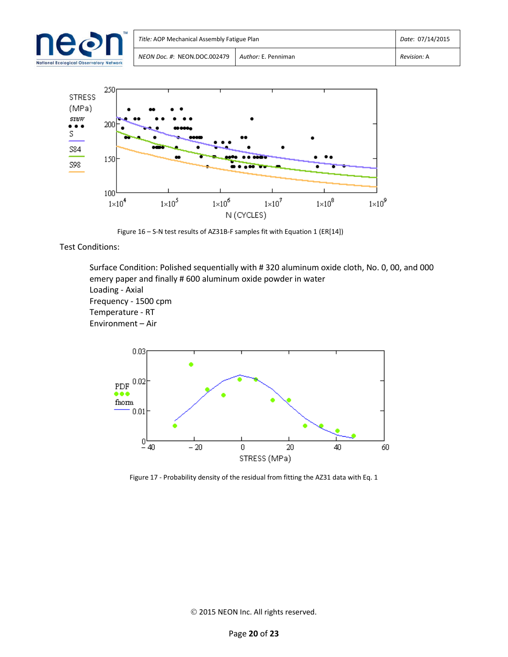|                                                | Title: AOP Mechanical Assembly Fatigue Plan | Date: 07/14/2015    |             |
|------------------------------------------------|---------------------------------------------|---------------------|-------------|
| <b>National Ecological Observatory Network</b> | NEON Doc. #: NEON.DOC.002479                | Author: E. Penniman | Revision: A |



Figure 16 – S-N test results of AZ31B-F samples fit with Equation 1 (ER[14])

Test Conditions:

Surface Condition: Polished sequentially with # 320 aluminum oxide cloth, No. 0, 00, and 000 emery paper and finally # 600 aluminum oxide powder in water Loading - Axial Frequency - 1500 cpm Temperature - RT Environment – Air



Figure 17 - Probability density of the residual from fitting the AZ31 data with Eq. 1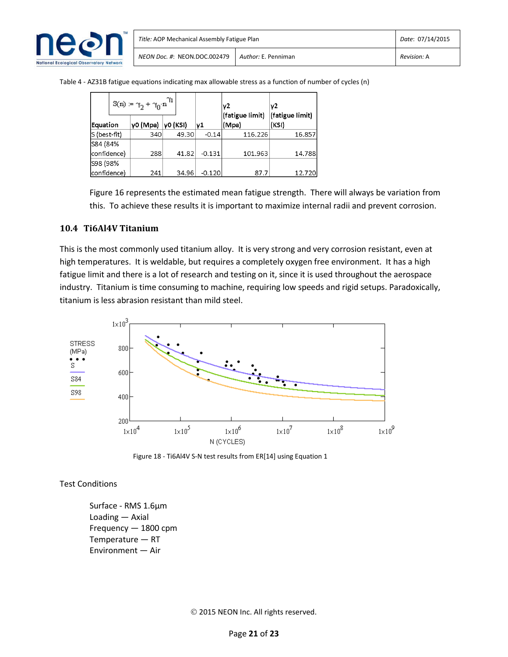

| Title: AOP Mechanical Assembly Fatigue Plan | Date: 07/14/2015    |             |
|---------------------------------------------|---------------------|-------------|
| NEON Doc. #: NEON.DOC.002479                | Author: E. Penniman | Revision: A |

Table 4 - AZ31B fatigue equations indicating max allowable stress as a function of number of cycles (n)

|              | $\mathbb{S}(n) := \gamma_2 + \gamma_0 \!\cdot\! n^{\gamma_1}$ |          |          | γ2<br>(fatigue limit) | ν2<br>(fatigue limit) |
|--------------|---------------------------------------------------------------|----------|----------|-----------------------|-----------------------|
| Equation     | γ0 (Mpa)                                                      | VO (KSI) | ν1       | (Mpa)                 | (KSI)                 |
| S (best-fit) | 340                                                           | 49.30    | $-0.14$  | 116.226               | 16.857                |
| S84 (84%     |                                                               |          |          |                       |                       |
| confidence)  | 288                                                           | 41.82    | $-0.131$ | 101.963               | 14.788                |
| S98 (98%     |                                                               |          |          |                       |                       |
| confidence)  | 241                                                           | 34.96    | $-0.120$ | 87.7                  | 12.720                |

Figure 16 represents the estimated mean fatigue strength. There will always be variation from this. To achieve these results it is important to maximize internal radii and prevent corrosion.

#### **10.4 Ti6Al4V Titanium**

This is the most commonly used titanium alloy. It is very strong and very corrosion resistant, even at high temperatures. It is weldable, but requires a completely oxygen free environment. It has a high fatigue limit and there is a lot of research and testing on it, since it is used throughout the aerospace industry. Titanium is time consuming to machine, requiring low speeds and rigid setups. Paradoxically, titanium is less abrasion resistant than mild steel.



Figure 18 - Ti6Al4V S-N test results from ER[14] using Equation 1

Test Conditions

Surface - RMS 1.6µm Loading — Axial Frequency — 1800 cpm Temperature — RT Environment — Air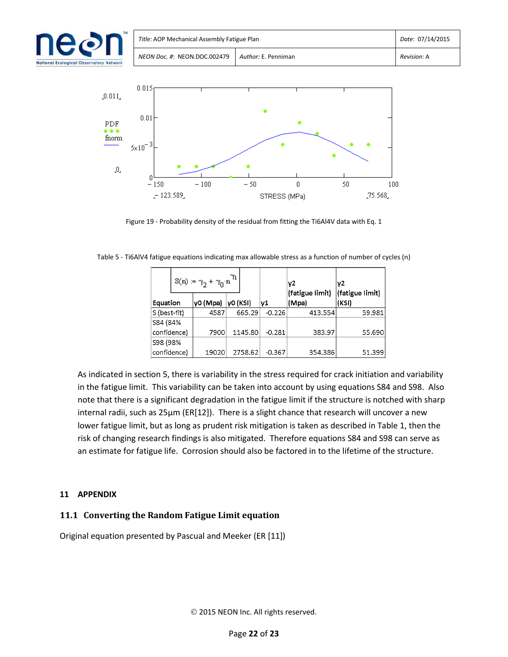| $\bullet$                  | Title: AOP Mechanical Assembly Fatigue Plan | Date: 07/14/2015    |             |
|----------------------------|---------------------------------------------|---------------------|-------------|
| <b>Observatory Network</b> | NEON Doc. #: NEON.DOC.002479                | Author: E. Penniman | Revision: A |



Figure 19 - Probability density of the residual from fitting the Ti6Al4V data with Eq. 1

|  | Table 5 - Ti6AIV4 fatigue equations indicating max allowable stress as a function of number of cycles (n) |  |
|--|-----------------------------------------------------------------------------------------------------------|--|
|  |                                                                                                           |  |

|              | $\mathbb{S}(n) := \gamma_2 + \gamma_0 \!\cdot\! n^{\gamma_1}$ |          |          |          | ν2<br>(fatigue limit) | ν2<br>(fatigue limit) |
|--------------|---------------------------------------------------------------|----------|----------|----------|-----------------------|-----------------------|
| Equation     |                                                               | γ0 (Mpa) | y0 (KSI) | ν1       | (Mpa)                 | (KSI)                 |
| S (best-fit) |                                                               | 4587     | 665.29   | $-0.226$ | 413.554               | 59.981                |
| S84 (84%     |                                                               |          |          |          |                       |                       |
| confidence)  |                                                               | 7900     | 1145.80  | $-0.281$ | 383.97                | 55.690                |
| S98 (98%     |                                                               |          |          |          |                       |                       |
| confidence)  |                                                               | 19020    | 2758.62  | $-0.367$ | 354.386               | 51.399                |

As indicated in section 5, there is variability in the stress required for crack initiation and variability in the fatigue limit. This variability can be taken into account by using equations S84 and S98. Also note that there is a significant degradation in the fatigue limit if the structure is notched with sharp internal radii, such as 25µm (ER[12]). There is a slight chance that research will uncover a new lower fatigue limit, but as long as prudent risk mitigation is taken as described in Table 1, then the risk of changing research findings is also mitigated. Therefore equations S84 and S98 can serve as an estimate for fatigue life. Corrosion should also be factored in to the lifetime of the structure.

## **11 APPENDIX**

## **11.1 Converting the Random Fatigue Limit equation**

Original equation presented by Pascual and Meeker (ER [11])